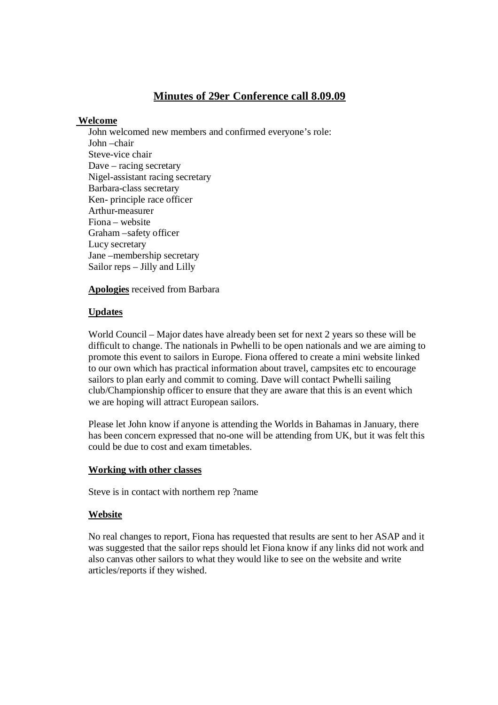# **Minutes of 29er Conference call 8.09.09**

## **Welcome**

John welcomed new members and confirmed everyone's role: John –chair Steve-vice chair Dave – racing secretary Nigel-assistant racing secretary Barbara-class secretary Ken- principle race officer Arthur-measurer Fiona – website Graham –safety officer Lucy secretary Jane –membership secretary Sailor reps – Jilly and Lilly

### **Apologies** received from Barbara

## **Updates**

World Council – Major dates have already been set for next 2 years so these will be difficult to change. The nationals in Pwhelli to be open nationals and we are aiming to promote this event to sailors in Europe. Fiona offered to create a mini website linked to our own which has practical information about travel, campsites etc to encourage sailors to plan early and commit to coming. Dave will contact Pwhelli sailing club/Championship officer to ensure that they are aware that this is an event which we are hoping will attract European sailors.

Please let John know if anyone is attending the Worlds in Bahamas in January, there has been concern expressed that no-one will be attending from UK, but it was felt this could be due to cost and exam timetables.

### **Working with other classes**

Steve is in contact with northern rep ?name

## **Website**

No real changes to report, Fiona has requested that results are sent to her ASAP and it was suggested that the sailor reps should let Fiona know if any links did not work and also canvas other sailors to what they would like to see on the website and write articles/reports if they wished.